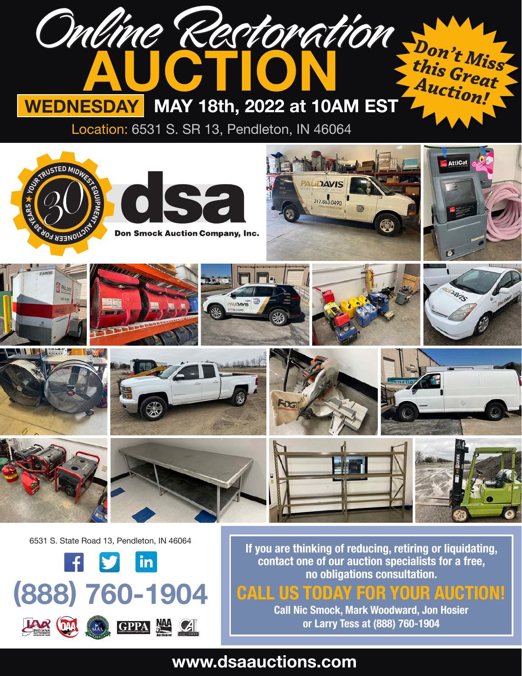

# **www.dsaauctions.com**